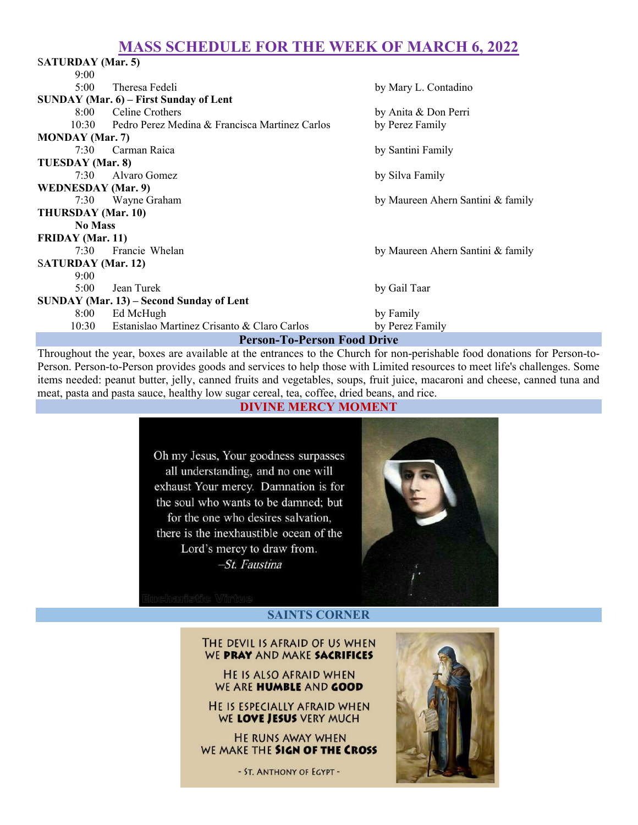# MASS SCHEDULE FOR THE WEEK OF MARCH 6, 2022

| <b>SATURDAY</b> (Mar. 5)                 |                                                |                                   |
|------------------------------------------|------------------------------------------------|-----------------------------------|
| 9:00                                     |                                                |                                   |
| 5:00                                     | Theresa Fedeli                                 | by Mary L. Contadino              |
| SUNDAY (Mar. 6) – First Sunday of Lent   |                                                |                                   |
| 8:00                                     | Celine Crothers                                | by Anita & Don Perri              |
| 10:30                                    | Pedro Perez Medina & Francisca Martinez Carlos | by Perez Family                   |
| <b>MONDAY</b> (Mar. 7)                   |                                                |                                   |
| 7:30                                     | Carman Raica                                   | by Santini Family                 |
| TUESDAY (Mar. 8)                         |                                                |                                   |
| 7:30                                     | Alvaro Gomez                                   | by Silva Family                   |
| <b>WEDNESDAY</b> (Mar. 9)                |                                                |                                   |
| 7:30                                     | Wayne Graham                                   | by Maureen Ahern Santini & family |
| THURSDAY (Mar. 10)                       |                                                |                                   |
| <b>No Mass</b>                           |                                                |                                   |
| <b>FRIDAY</b> (Mar. 11)                  |                                                |                                   |
| 7:30                                     | <b>Francie Whelan</b>                          | by Maureen Ahern Santini & family |
| <b>SATURDAY</b> (Mar. 12)                |                                                |                                   |
| 9:00                                     |                                                |                                   |
| 5:00                                     | Jean Turek                                     | by Gail Taar                      |
| SUNDAY (Mar. 13) – Second Sunday of Lent |                                                |                                   |
| 8:00                                     | Ed McHugh                                      | by Family                         |
| 10:30                                    | Estanislao Martinez Crisanto & Claro Carlos    | by Perez Family                   |
| <b>Person-To-Person Food Drive</b>       |                                                |                                   |

Throughout the year, boxes are available at the entrances to the Church for non-perishable food donations for Person-to-Person. Person-to-Person provides goods and services to help those with Limited resources to meet life's challenges. Some items needed: peanut butter, jelly, canned fruits and vegetables, soups, fruit juice, macaroni and cheese, canned tuna and meat, pasta and pasta sauce, healthy low sugar cereal, tea, coffee, dried beans, and rice.

### DIVINE MERCY MOMENT

Oh my Jesus, Your goodness surpasses all understanding, and no one will exhaust Your mercy. Damnation is for the soul who wants to be damned; but for the one who desires salvation. there is the inexhaustible ocean of the Lord's mercy to draw from. -St. Faustina



### SAINTS CORNER

THE DEVIL IS AFRAID OF US WHEN WE PRAY AND MAKE SACRIFICES

HE IS ALSO AFRAID WHEN WE ARE HUMBLE AND GOOD

HE IS ESPECIALLY AFRAID WHEN WE LOVE JESUS VERY MUCH

HE RUNS AWAY WHEN WE MAKE THE SIGN OF THE CROSS

- ST. ANTHONY OF EGYPT -